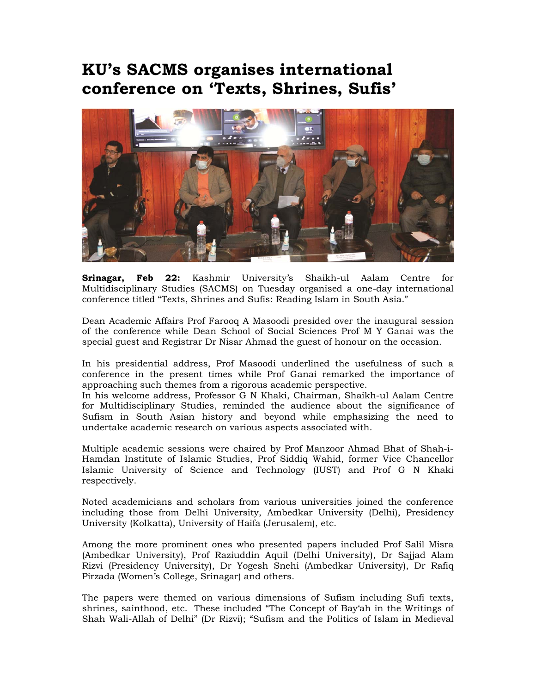## **KU's SACMS organises international conference on 'Texts, Shrines, Sufis'**



**Srinagar, Feb 22:** Kashmir University's Shaikh-ul Aalam Centre for Multidisciplinary Studies (SACMS) on Tuesday organised a one-day international conference titled "Texts, Shrines and Sufis: Reading Islam in South Asia."

Dean Academic Affairs Prof Farooq A Masoodi presided over the inaugural session of the conference while Dean School of Social Sciences Prof M Y Ganai was the special guest and Registrar Dr Nisar Ahmad the guest of honour on the occasion.

In his presidential address, Prof Masoodi underlined the usefulness of such a conference in the present times while Prof Ganai remarked the importance of approaching such themes from a rigorous academic perspective.

In his welcome address, Professor G N Khaki, Chairman, Shaikh-ul Aalam Centre for Multidisciplinary Studies, reminded the audience about the significance of Sufism in South Asian history and beyond while emphasizing the need to undertake academic research on various aspects associated with.

Multiple academic sessions were chaired by Prof Manzoor Ahmad Bhat of Shah-i-Hamdan Institute of Islamic Studies, Prof Siddiq Wahid, former Vice Chancellor Islamic University of Science and Technology (IUST) and Prof G N Khaki respectively.

Noted academicians and scholars from various universities joined the conference including those from Delhi University, Ambedkar University (Delhi), Presidency University (Kolkatta), University of Haifa (Jerusalem), etc.

Among the more prominent ones who presented papers included Prof Salil Misra (Ambedkar University), Prof Raziuddin Aquil (Delhi University), Dr Sajjad Alam Rizvi (Presidency University), Dr Yogesh Snehi (Ambedkar University), Dr Rafiq Pirzada (Women's College, Srinagar) and others.

The papers were themed on various dimensions of Sufism including Sufi texts, shrines, sainthood, etc. These included "The Concept of Bay'ah in the Writings of Shah Wali-Allah of Delhi" (Dr Rizvi); "Sufism and the Politics of Islam in Medieval